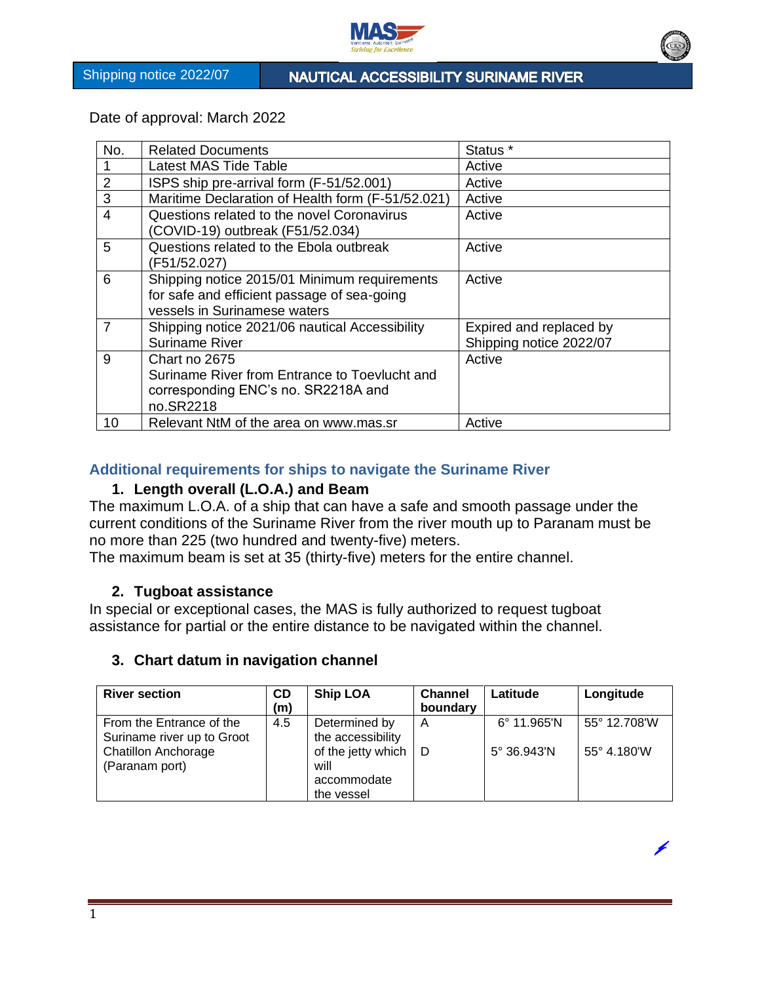

NAUTICAL ACCESSIBILITY SURINAME RIVER

Date of approval: March 2022

| No.            | <b>Related Documents</b>                                                                                                    | Status <sup>*</sup>                                |
|----------------|-----------------------------------------------------------------------------------------------------------------------------|----------------------------------------------------|
|                | <b>Latest MAS Tide Table</b>                                                                                                | Active                                             |
| 2              | ISPS ship pre-arrival form (F-51/52.001)                                                                                    | Active                                             |
| 3              | Maritime Declaration of Health form (F-51/52.021)                                                                           | Active                                             |
| $\overline{4}$ | Questions related to the novel Coronavirus<br>(COVID-19) outbreak (F51/52.034)                                              | Active                                             |
| 5              | Questions related to the Ebola outbreak<br>(F51/52.027)                                                                     | Active                                             |
| 6              | Shipping notice 2015/01 Minimum requirements<br>for safe and efficient passage of sea-going<br>vessels in Surinamese waters | Active                                             |
| $\overline{7}$ | Shipping notice 2021/06 nautical Accessibility<br>Suriname River                                                            | Expired and replaced by<br>Shipping notice 2022/07 |
| 9              | Chart no 2675<br>Suriname River from Entrance to Toevlucht and<br>corresponding ENC's no. SR2218A and<br>no.SR2218          | Active                                             |
| 10             | Relevant NtM of the area on www.mas.sr                                                                                      | Active                                             |

## **Additional requirements for ships to navigate the Suriname River**

# **1. Length overall (L.O.A.) and Beam**

The maximum L.O.A. of a ship that can have a safe and smooth passage under the current conditions of the Suriname River from the river mouth up to Paranam must be no more than 225 (two hundred and twenty-five) meters.

The maximum beam is set at 35 (thirty-five) meters for the entire channel.

## **2. Tugboat assistance**

In special or exceptional cases, the MAS is fully authorized to request tugboat assistance for partial or the entire distance to be navigated within the channel.

## **3. Chart datum in navigation channel**

| <b>River section</b>                                   | <b>CD</b><br>(m) | <b>Ship LOA</b>                                         | <b>Channel</b><br>boundary | Latitude             | Longitude    |
|--------------------------------------------------------|------------------|---------------------------------------------------------|----------------------------|----------------------|--------------|
| From the Entrance of the<br>Suriname river up to Groot | 4.5              | Determined by<br>the accessibility                      | A                          | $6^{\circ}$ 11.965'N | 55° 12.708'W |
| <b>Chatillon Anchorage</b><br>(Paranam port)           |                  | of the jetty which<br>will<br>accommodate<br>the vessel | ∣D                         | $5^{\circ}$ 36.943'N | 55° 4.180'W  |

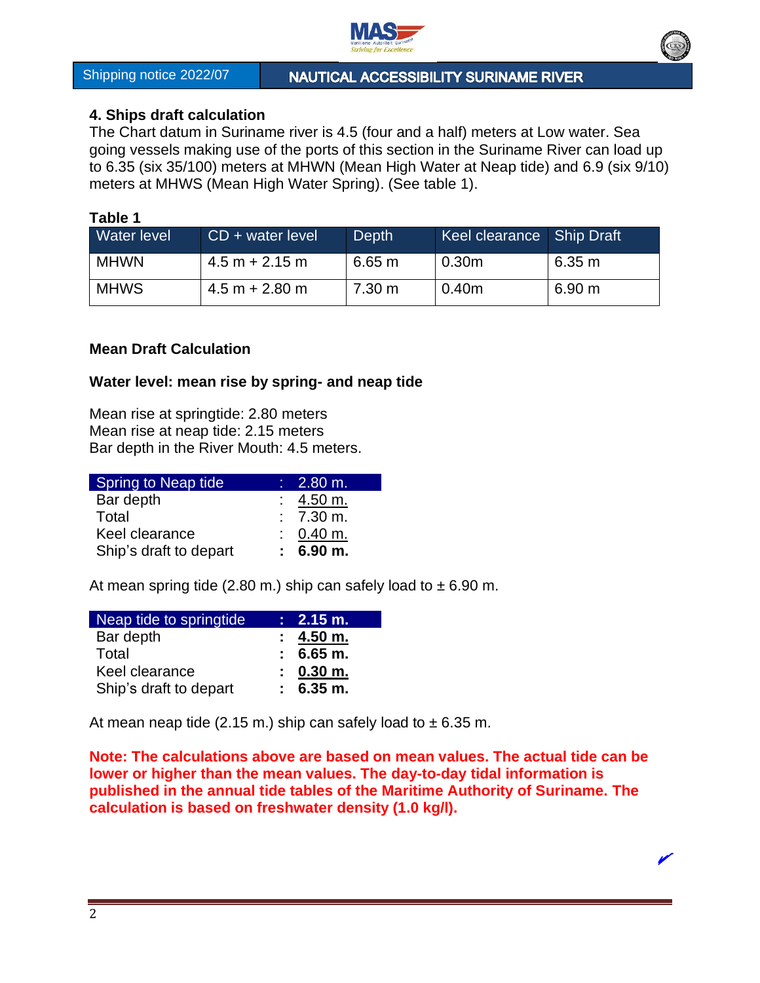

NAUTICAL ACCESSIBILITY SURINAME RIVER

# **4. Ships draft calculation**

The Chart datum in Suriname river is 4.5 (four and a half) meters at Low water. Sea going vessels making use of the ports of this section in the Suriname River can load up to 6.35 (six 35/100) meters at MHWN (Mean High Water at Neap tide) and 6.9 (six 9/10) meters at MHWS (Mean High Water Spring). (See table 1).

#### **Table 1**

| Water level | CD + water level | Depth            | <b>Keel clearance</b> Ship Draft |        |
|-------------|------------------|------------------|----------------------------------|--------|
| <b>MHWN</b> | $4.5 m + 2.15 m$ | 6.65 m           | 0.30 <sub>m</sub>                | 6.35 m |
| <b>MHWS</b> | $4.5 m + 2.80 m$ | $7.30 \text{ m}$ | 0.40 <sub>m</sub>                | 6.90 m |

## **Mean Draft Calculation**

## **Water level: mean rise by spring- and neap tide**

Mean rise at springtide: 2.80 meters Mean rise at neap tide: 2.15 meters Bar depth in the River Mouth: 4.5 meters.

| <b>Spring to Neap tide</b> | $\therefore$ 2.80 m.   |
|----------------------------|------------------------|
| Bar depth                  | $: 4.50 \text{ m}.$    |
| Total                      | $: 7.30 \text{ m.}$    |
| Keel clearance             | $: 0.40 \text{ m}.$    |
| Ship's draft to depart     | $: 6.90 \; \text{m}$ . |

At mean spring tide (2.80 m.) ship can safely load to  $\pm$  6.90 m.

| Neap tide to springtide | $: 2.15 \text{ m}.$    |
|-------------------------|------------------------|
| Bar depth               | $: 4.50 \; \text{m}$ . |
| Total                   | $: 6.65 \, \text{m}$ . |
| Keel clearance          | $: 0.30 \, \text{m}$ . |
| Ship's draft to depart  | $: 6.35 \text{ m}.$    |

At mean neap tide (2.15 m.) ship can safely load to  $\pm$  6.35 m.

**Note: The calculations above are based on mean values. The actual tide can be lower or higher than the mean values. The day-to-day tidal information is published in the annual tide tables of the Maritime Authority of Suriname. The calculation is based on freshwater density (1.0 kg/l).**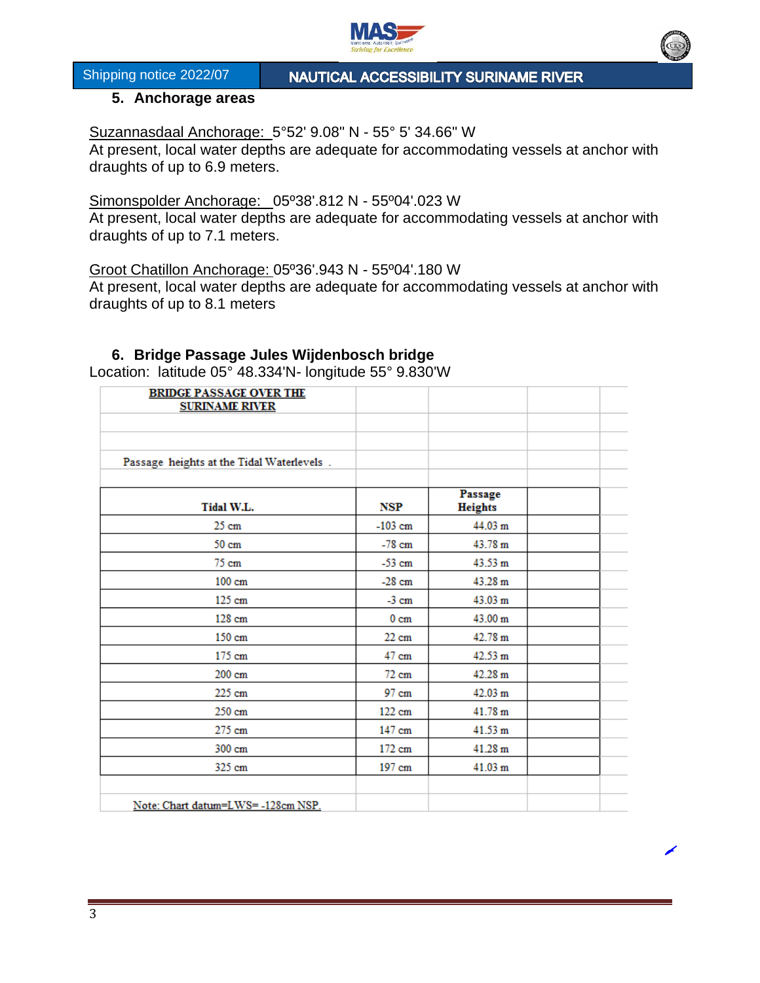

NAUTICAL ACCESSIBILITY SURINAME RIVER

#### **5. Anchorage areas**

Suzannasdaal Anchorage: 5°52' 9.08" N - 55° 5' 34.66" W

At present, local water depths are adequate for accommodating vessels at anchor with draughts of up to 6.9 meters.

Simonspolder Anchorage: 05º38'.812 N - 55º04'.023 W At present, local water depths are adequate for accommodating vessels at anchor with draughts of up to 7.1 meters.

Groot Chatillon Anchorage: 05º36'.943 N - 55º04'.180 W

At present, local water depths are adequate for accommodating vessels at anchor with draughts of up to 8.1 meters

#### **6. Bridge Passage Jules Wijdenbosch bridge**

Location: latitude 05° 48.334'N- longitude 55° 9.830'W

| <b>BRIDGE PASSAGE OVER THE</b><br><b>SURINAME RIVER</b> |                 |                           |  |
|---------------------------------------------------------|-----------------|---------------------------|--|
|                                                         |                 |                           |  |
|                                                         |                 |                           |  |
| Passage heights at the Tidal Waterlevels.               |                 |                           |  |
|                                                         |                 |                           |  |
| Tidal W.L.                                              | NSP             | Passage<br><b>Heights</b> |  |
| $25 \text{ cm}$                                         | $-103$ cm       | 44.03 m                   |  |
| 50 cm                                                   | $-78$ cm        | 43.78 m                   |  |
| $75 \text{ cm}$                                         | $-53$ cm        | 43.53 m                   |  |
| $100 \text{ cm}$                                        | $-28$ cm        | 43.28 m                   |  |
| $125 \text{ cm}$                                        | $-3$ cm         | 43.03 m                   |  |
| 128 cm                                                  | 0 <sub>cm</sub> | 43.00 m                   |  |
| 150 cm                                                  | $22 \text{ cm}$ | 42.78 m                   |  |
| $175 \text{ cm}$                                        | $47 \text{ cm}$ | 42.53 m                   |  |
| $200 \text{ cm}$                                        | $72 \text{ cm}$ | 42.28 m                   |  |
| 225 cm                                                  | 97 cm           | 42.03 m                   |  |
| 250 cm                                                  | 122 cm          | 41.78 m                   |  |
| 275 cm                                                  | 147 cm          | 41.53 m                   |  |
| 300 cm                                                  | 172 cm          | 41.28 m                   |  |
| 325 cm                                                  | 197 cm          | 41.03 m                   |  |
|                                                         |                 |                           |  |
| Note: Chart datum=LWS=-128cm NSP.                       |                 |                           |  |